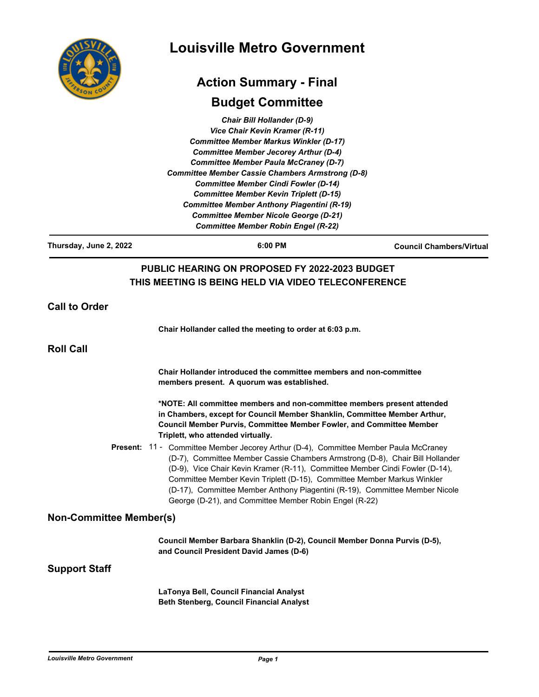|                                | <b>Louisville Metro Government</b><br><b>Action Summary - Final</b>                                                                                                                                                                                                                                                                                                                                                                                                                                                         |                                 |  |
|--------------------------------|-----------------------------------------------------------------------------------------------------------------------------------------------------------------------------------------------------------------------------------------------------------------------------------------------------------------------------------------------------------------------------------------------------------------------------------------------------------------------------------------------------------------------------|---------------------------------|--|
|                                |                                                                                                                                                                                                                                                                                                                                                                                                                                                                                                                             |                                 |  |
|                                | Chair Bill Hollander (D-9)<br>Vice Chair Kevin Kramer (R-11)<br><b>Committee Member Markus Winkler (D-17)</b><br><b>Committee Member Jecorey Arthur (D-4)</b><br><b>Committee Member Paula McCraney (D-7)</b><br><b>Committee Member Cassie Chambers Armstrong (D-8)</b><br><b>Committee Member Cindi Fowler (D-14)</b><br><b>Committee Member Kevin Triplett (D-15)</b><br><b>Committee Member Anthony Piagentini (R-19)</b><br><b>Committee Member Nicole George (D-21)</b><br><b>Committee Member Robin Engel (R-22)</b> |                                 |  |
| Thursday, June 2, 2022         | 6:00 PM                                                                                                                                                                                                                                                                                                                                                                                                                                                                                                                     | <b>Council Chambers/Virtual</b> |  |
| <b>Call to Order</b>           | THIS MEETING IS BEING HELD VIA VIDEO TELECONFERENCE                                                                                                                                                                                                                                                                                                                                                                                                                                                                         |                                 |  |
|                                | Chair Hollander called the meeting to order at 6:03 p.m.                                                                                                                                                                                                                                                                                                                                                                                                                                                                    |                                 |  |
| <b>Roll Call</b>               |                                                                                                                                                                                                                                                                                                                                                                                                                                                                                                                             |                                 |  |
|                                | Chair Hollander introduced the committee members and non-committee<br>members present. A quorum was established.                                                                                                                                                                                                                                                                                                                                                                                                            |                                 |  |
|                                | *NOTE: All committee members and non-committee members present attended<br>in Chambers, except for Council Member Shanklin, Committee Member Arthur,<br>Council Member Purvis, Committee Member Fowler, and Committee Member<br>Triplett, who attended virtually.                                                                                                                                                                                                                                                           |                                 |  |
|                                | <b>Present: 11 - Committee Member Jecorey Arthur (D-4), Committee Member Paula McCraney</b><br>(D-7), Committee Member Cassie Chambers Armstrong (D-8), Chair Bill Hollander<br>(D-9), Vice Chair Kevin Kramer (R-11), Committee Member Cindi Fowler (D-14),<br>Committee Member Kevin Triplett (D-15), Committee Member Markus Winkler<br>(D-17), Committee Member Anthony Piagentini (R-19), Committee Member Nicole<br>George (D-21), and Committee Member Robin Engel (R-22)                                            |                                 |  |
| <b>Non-Committee Member(s)</b> |                                                                                                                                                                                                                                                                                                                                                                                                                                                                                                                             |                                 |  |
|                                | Council Member Barbara Shanklin (D-2), Council Member Donna Purvis (D-5),<br>and Council President David James (D-6)                                                                                                                                                                                                                                                                                                                                                                                                        |                                 |  |
| Support Staff                  |                                                                                                                                                                                                                                                                                                                                                                                                                                                                                                                             |                                 |  |
|                                | LaTonya Bell, Council Financial Analyst<br><b>Beth Stenberg, Council Financial Analyst</b>                                                                                                                                                                                                                                                                                                                                                                                                                                  |                                 |  |